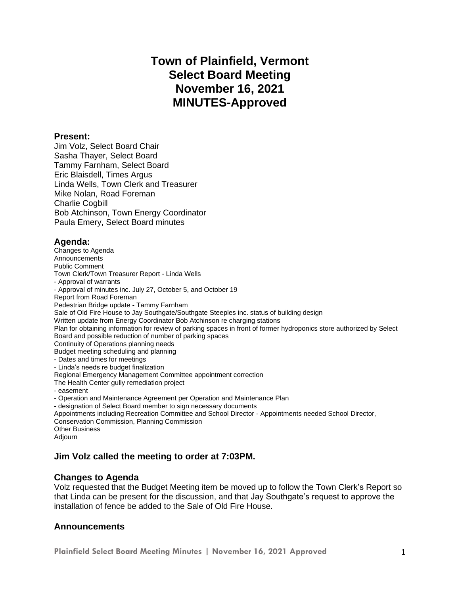# **Town of Plainfield, Vermont Select Board Meeting November 16, 2021 MINUTES-Approved**

#### **Present:**

Jim Volz, Select Board Chair Sasha Thayer, Select Board Tammy Farnham, Select Board Eric Blaisdell, Times Argus Linda Wells, Town Clerk and Treasurer Mike Nolan, Road Foreman Charlie Cogbill Bob Atchinson, Town Energy Coordinator Paula Emery, Select Board minutes

## **Agenda:**

Changes to Agenda Announcements Public Comment Town Clerk/Town Treasurer Report - Linda Wells - Approval of warrants - Approval of minutes inc. July 27, October 5, and October 19 Report from Road Foreman Pedestrian Bridge update - Tammy Farnham Sale of Old Fire House to Jay Southgate/Southgate Steeples inc. status of building design Written update from Energy Coordinator Bob Atchinson re charging stations Plan for obtaining information for review of parking spaces in front of former hydroponics store authorized by Select Board and possible reduction of number of parking spaces Continuity of Operations planning needs Budget meeting scheduling and planning - Dates and times for meetings - Linda's needs re budget finalization Regional Emergency Management Committee appointment correction The Health Center gully remediation project - easement - Operation and Maintenance Agreement per Operation and Maintenance Plan - designation of Select Board member to sign necessary documents Appointments including Recreation Committee and School Director - Appointments needed School Director, Conservation Commission, Planning Commission Other Business Adjourn

## **Jim Volz called the meeting to order at 7:03PM.**

## **Changes to Agenda**

Volz requested that the Budget Meeting item be moved up to follow the Town Clerk's Report so that Linda can be present for the discussion, and that Jay Southgate's request to approve the installation of fence be added to the Sale of Old Fire House.

## **Announcements**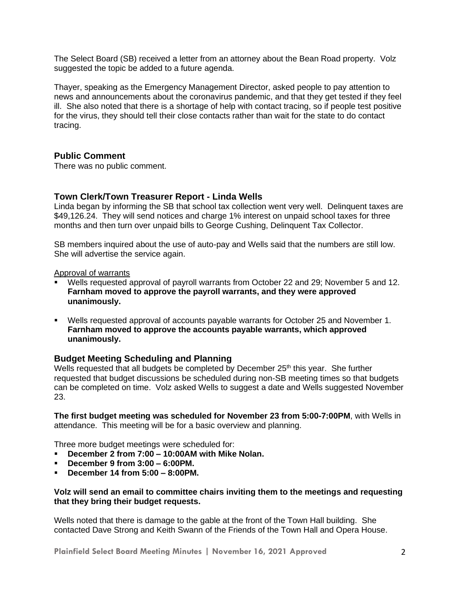The Select Board (SB) received a letter from an attorney about the Bean Road property. Volz suggested the topic be added to a future agenda.

Thayer, speaking as the Emergency Management Director, asked people to pay attention to news and announcements about the coronavirus pandemic, and that they get tested if they feel ill. She also noted that there is a shortage of help with contact tracing, so if people test positive for the virus, they should tell their close contacts rather than wait for the state to do contact tracing.

## **Public Comment**

There was no public comment.

#### **Town Clerk/Town Treasurer Report - Linda Wells**

Linda began by informing the SB that school tax collection went very well. Delinquent taxes are \$49,126.24. They will send notices and charge 1% interest on unpaid school taxes for three months and then turn over unpaid bills to George Cushing, Delinquent Tax Collector.

SB members inquired about the use of auto-pay and Wells said that the numbers are still low. She will advertise the service again.

Approval of warrants

- Wells requested approval of payroll warrants from October 22 and 29; November 5 and 12. **Farnham moved to approve the payroll warrants, and they were approved unanimously.**
- Wells requested approval of accounts payable warrants for October 25 and November 1. **Farnham moved to approve the accounts payable warrants, which approved unanimously.**

## **Budget Meeting Scheduling and Planning**

Wells requested that all budgets be completed by December  $25<sup>th</sup>$  this year. She further requested that budget discussions be scheduled during non-SB meeting times so that budgets can be completed on time. Volz asked Wells to suggest a date and Wells suggested November 23.

**The first budget meeting was scheduled for November 23 from 5:00-7:00PM**, with Wells in attendance. This meeting will be for a basic overview and planning.

Three more budget meetings were scheduled for:

- **December 2 from 7:00 – 10:00AM with Mike Nolan.**
- **December 9 from 3:00 – 6:00PM.**
- **December 14 from 5:00 – 8:00PM.**

#### **Volz will send an email to committee chairs inviting them to the meetings and requesting that they bring their budget requests.**

Wells noted that there is damage to the gable at the front of the Town Hall building. She contacted Dave Strong and Keith Swann of the Friends of the Town Hall and Opera House.

**Plainfield Select Board Meeting Minutes | November 16, 2021 Approved** 2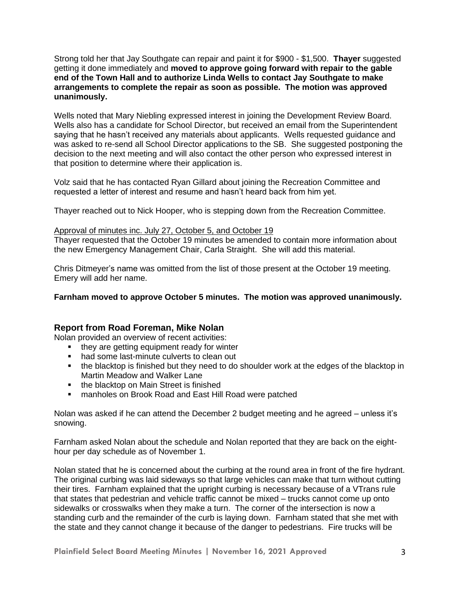Strong told her that Jay Southgate can repair and paint it for \$900 - \$1,500. **Thayer** suggested getting it done immediately and **moved to approve going forward with repair to the gable end of the Town Hall and to authorize Linda Wells to contact Jay Southgate to make arrangements to complete the repair as soon as possible. The motion was approved unanimously.**

Wells noted that Mary Niebling expressed interest in joining the Development Review Board. Wells also has a candidate for School Director, but received an email from the Superintendent saying that he hasn't received any materials about applicants. Wells requested guidance and was asked to re-send all School Director applications to the SB. She suggested postponing the decision to the next meeting and will also contact the other person who expressed interest in that position to determine where their application is.

Volz said that he has contacted Ryan Gillard about joining the Recreation Committee and requested a letter of interest and resume and hasn't heard back from him yet.

Thayer reached out to Nick Hooper, who is stepping down from the Recreation Committee.

#### Approval of minutes inc. July 27, October 5, and October 19

Thayer requested that the October 19 minutes be amended to contain more information about the new Emergency Management Chair, Carla Straight. She will add this material.

Chris Ditmeyer's name was omitted from the list of those present at the October 19 meeting. Emery will add her name.

**Farnham moved to approve October 5 minutes. The motion was approved unanimously.** 

## **Report from Road Foreman, Mike Nolan**

Nolan provided an overview of recent activities:

- they are getting equipment ready for winter
- had some last-minute culverts to clean out
- the blacktop is finished but they need to do shoulder work at the edges of the blacktop in Martin Meadow and Walker Lane
- the blacktop on Main Street is finished
- manholes on Brook Road and East Hill Road were patched

Nolan was asked if he can attend the December 2 budget meeting and he agreed – unless it's snowing.

Farnham asked Nolan about the schedule and Nolan reported that they are back on the eighthour per day schedule as of November 1.

Nolan stated that he is concerned about the curbing at the round area in front of the fire hydrant. The original curbing was laid sideways so that large vehicles can make that turn without cutting their tires. Farnham explained that the upright curbing is necessary because of a VTrans rule that states that pedestrian and vehicle traffic cannot be mixed – trucks cannot come up onto sidewalks or crosswalks when they make a turn. The corner of the intersection is now a standing curb and the remainder of the curb is laying down. Farnham stated that she met with the state and they cannot change it because of the danger to pedestrians. Fire trucks will be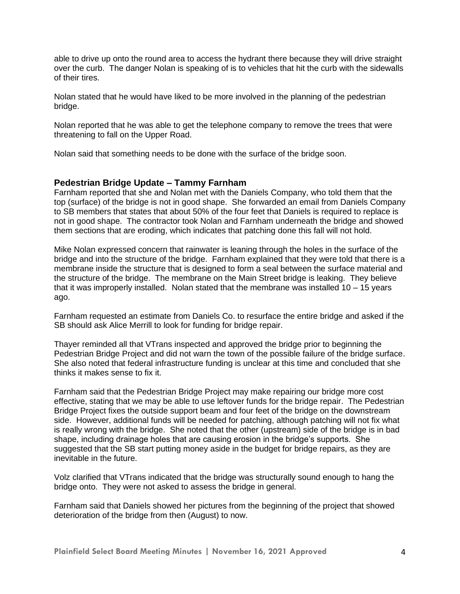able to drive up onto the round area to access the hydrant there because they will drive straight over the curb. The danger Nolan is speaking of is to vehicles that hit the curb with the sidewalls of their tires.

Nolan stated that he would have liked to be more involved in the planning of the pedestrian bridge.

Nolan reported that he was able to get the telephone company to remove the trees that were threatening to fall on the Upper Road.

Nolan said that something needs to be done with the surface of the bridge soon.

#### **Pedestrian Bridge Update – Tammy Farnham**

Farnham reported that she and Nolan met with the Daniels Company, who told them that the top (surface) of the bridge is not in good shape. She forwarded an email from Daniels Company to SB members that states that about 50% of the four feet that Daniels is required to replace is not in good shape. The contractor took Nolan and Farnham underneath the bridge and showed them sections that are eroding, which indicates that patching done this fall will not hold.

Mike Nolan expressed concern that rainwater is leaning through the holes in the surface of the bridge and into the structure of the bridge. Farnham explained that they were told that there is a membrane inside the structure that is designed to form a seal between the surface material and the structure of the bridge. The membrane on the Main Street bridge is leaking. They believe that it was improperly installed. Nolan stated that the membrane was installed  $10 - 15$  years ago.

Farnham requested an estimate from Daniels Co. to resurface the entire bridge and asked if the SB should ask Alice Merrill to look for funding for bridge repair.

Thayer reminded all that VTrans inspected and approved the bridge prior to beginning the Pedestrian Bridge Project and did not warn the town of the possible failure of the bridge surface. She also noted that federal infrastructure funding is unclear at this time and concluded that she thinks it makes sense to fix it.

Farnham said that the Pedestrian Bridge Project may make repairing our bridge more cost effective, stating that we may be able to use leftover funds for the bridge repair. The Pedestrian Bridge Project fixes the outside support beam and four feet of the bridge on the downstream side. However, additional funds will be needed for patching, although patching will not fix what is really wrong with the bridge. She noted that the other (upstream) side of the bridge is in bad shape, including drainage holes that are causing erosion in the bridge's supports. She suggested that the SB start putting money aside in the budget for bridge repairs, as they are inevitable in the future.

Volz clarified that VTrans indicated that the bridge was structurally sound enough to hang the bridge onto. They were not asked to assess the bridge in general.

Farnham said that Daniels showed her pictures from the beginning of the project that showed deterioration of the bridge from then (August) to now.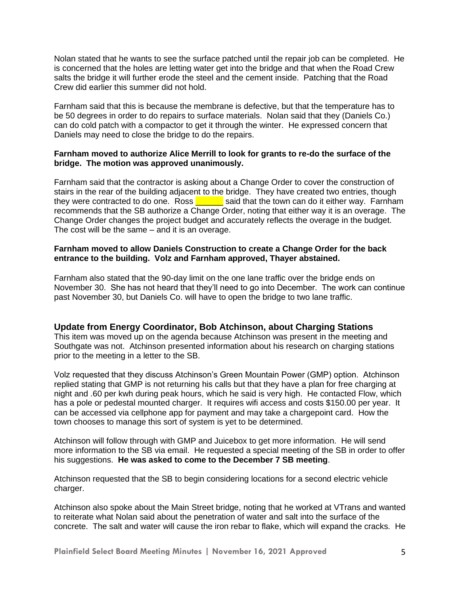Nolan stated that he wants to see the surface patched until the repair job can be completed. He is concerned that the holes are letting water get into the bridge and that when the Road Crew salts the bridge it will further erode the steel and the cement inside. Patching that the Road Crew did earlier this summer did not hold.

Farnham said that this is because the membrane is defective, but that the temperature has to be 50 degrees in order to do repairs to surface materials. Nolan said that they (Daniels Co.) can do cold patch with a compactor to get it through the winter. He expressed concern that Daniels may need to close the bridge to do the repairs.

#### **Farnham moved to authorize Alice Merrill to look for grants to re-do the surface of the bridge. The motion was approved unanimously.**

Farnham said that the contractor is asking about a Change Order to cover the construction of stairs in the rear of the building adjacent to the bridge. They have created two entries, though they were contracted to do one. Ross  $\overline{\phantom{a}}$  said that the town can do it either way. Farnham recommends that the SB authorize a Change Order, noting that either way it is an overage. The Change Order changes the project budget and accurately reflects the overage in the budget. The cost will be the same – and it is an overage.

#### **Farnham moved to allow Daniels Construction to create a Change Order for the back entrance to the building. Volz and Farnham approved, Thayer abstained.**

Farnham also stated that the 90-day limit on the one lane traffic over the bridge ends on November 30. She has not heard that they'll need to go into December. The work can continue past November 30, but Daniels Co. will have to open the bridge to two lane traffic.

## **Update from Energy Coordinator, Bob Atchinson, about Charging Stations**

This item was moved up on the agenda because Atchinson was present in the meeting and Southgate was not. Atchinson presented information about his research on charging stations prior to the meeting in a letter to the SB.

Volz requested that they discuss Atchinson's Green Mountain Power (GMP) option. Atchinson replied stating that GMP is not returning his calls but that they have a plan for free charging at night and .60 per kwh during peak hours, which he said is very high. He contacted Flow, which has a pole or pedestal mounted charger. It requires wifi access and costs \$150.00 per year. It can be accessed via cellphone app for payment and may take a chargepoint card. How the town chooses to manage this sort of system is yet to be determined.

Atchinson will follow through with GMP and Juicebox to get more information. He will send more information to the SB via email. He requested a special meeting of the SB in order to offer his suggestions. **He was asked to come to the December 7 SB meeting**.

Atchinson requested that the SB to begin considering locations for a second electric vehicle charger.

Atchinson also spoke about the Main Street bridge, noting that he worked at VTrans and wanted to reiterate what Nolan said about the penetration of water and salt into the surface of the concrete. The salt and water will cause the iron rebar to flake, which will expand the cracks. He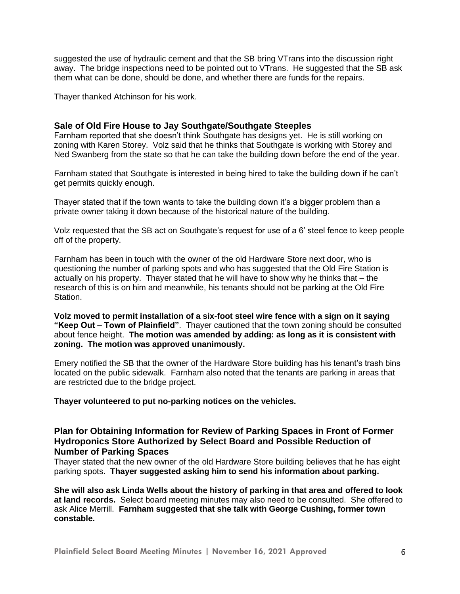suggested the use of hydraulic cement and that the SB bring VTrans into the discussion right away. The bridge inspections need to be pointed out to VTrans. He suggested that the SB ask them what can be done, should be done, and whether there are funds for the repairs.

Thayer thanked Atchinson for his work.

#### **Sale of Old Fire House to Jay Southgate/Southgate Steeples**

Farnham reported that she doesn't think Southgate has designs yet. He is still working on zoning with Karen Storey. Volz said that he thinks that Southgate is working with Storey and Ned Swanberg from the state so that he can take the building down before the end of the year.

Farnham stated that Southgate is interested in being hired to take the building down if he can't get permits quickly enough.

Thayer stated that if the town wants to take the building down it's a bigger problem than a private owner taking it down because of the historical nature of the building.

Volz requested that the SB act on Southgate's request for use of a 6' steel fence to keep people off of the property.

Farnham has been in touch with the owner of the old Hardware Store next door, who is questioning the number of parking spots and who has suggested that the Old Fire Station is actually on his property. Thayer stated that he will have to show why he thinks that – the research of this is on him and meanwhile, his tenants should not be parking at the Old Fire Station.

**Volz moved to permit installation of a six-foot steel wire fence with a sign on it saying "Keep Out – Town of Plainfield"**. Thayer cautioned that the town zoning should be consulted about fence height. **The motion was amended by adding: as long as it is consistent with zoning. The motion was approved unanimously.**

Emery notified the SB that the owner of the Hardware Store building has his tenant's trash bins located on the public sidewalk. Farnham also noted that the tenants are parking in areas that are restricted due to the bridge project.

**Thayer volunteered to put no-parking notices on the vehicles.** 

#### **Plan for Obtaining Information for Review of Parking Spaces in Front of Former Hydroponics Store Authorized by Select Board and Possible Reduction of Number of Parking Spaces**

Thayer stated that the new owner of the old Hardware Store building believes that he has eight parking spots. **Thayer suggested asking him to send his information about parking.** 

**She will also ask Linda Wells about the history of parking in that area and offered to look at land records.** Select board meeting minutes may also need to be consulted. She offered to ask Alice Merrill. **Farnham suggested that she talk with George Cushing, former town constable.**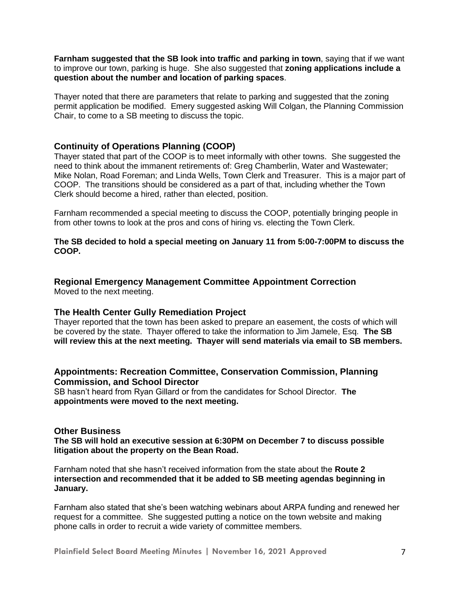**Farnham suggested that the SB look into traffic and parking in town**, saying that if we want to improve our town, parking is huge. She also suggested that **zoning applications include a question about the number and location of parking spaces**.

Thayer noted that there are parameters that relate to parking and suggested that the zoning permit application be modified. Emery suggested asking Will Colgan, the Planning Commission Chair, to come to a SB meeting to discuss the topic.

#### **Continuity of Operations Planning (COOP)**

Thayer stated that part of the COOP is to meet informally with other towns. She suggested the need to think about the immanent retirements of: Greg Chamberlin, Water and Wastewater; Mike Nolan, Road Foreman; and Linda Wells, Town Clerk and Treasurer. This is a major part of COOP. The transitions should be considered as a part of that, including whether the Town Clerk should become a hired, rather than elected, position.

Farnham recommended a special meeting to discuss the COOP, potentially bringing people in from other towns to look at the pros and cons of hiring vs. electing the Town Clerk.

#### **The SB decided to hold a special meeting on January 11 from 5:00-7:00PM to discuss the COOP.**

## **Regional Emergency Management Committee Appointment Correction**

Moved to the next meeting.

#### **The Health Center Gully Remediation Project**

Thayer reported that the town has been asked to prepare an easement, the costs of which will be covered by the state. Thayer offered to take the information to Jim Jamele, Esq. **The SB will review this at the next meeting. Thayer will send materials via email to SB members.**

#### **Appointments: Recreation Committee, Conservation Commission, Planning Commission, and School Director**

SB hasn't heard from Ryan Gillard or from the candidates for School Director. **The appointments were moved to the next meeting.** 

#### **Other Business**

**The SB will hold an executive session at 6:30PM on December 7 to discuss possible litigation about the property on the Bean Road.** 

Farnham noted that she hasn't received information from the state about the **Route 2 intersection and recommended that it be added to SB meeting agendas beginning in January.**

Farnham also stated that she's been watching webinars about ARPA funding and renewed her request for a committee. She suggested putting a notice on the town website and making phone calls in order to recruit a wide variety of committee members.